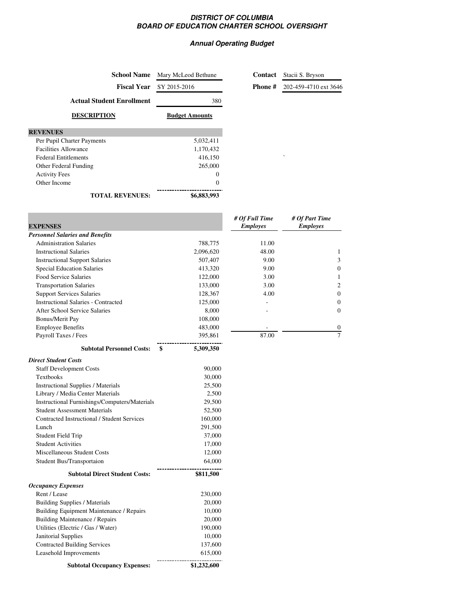## **DISTRICT OF COLUMBIA BOARD OF EDUCATION CHARTER SCHOOL OVERSIGHT**

## **Annual Operating Budget**

| <b>School Name</b>                         | Mary McLeod Bethune   | Contact                           | Stacii S. Bryson                  |
|--------------------------------------------|-----------------------|-----------------------------------|-----------------------------------|
| <b>Fiscal Year</b>                         | SY 2015-2016          | Phone#                            | 202-459-4710 ext 3646             |
| <b>Actual Student Enrollment</b>           | 380                   |                                   |                                   |
| <b>DESCRIPTION</b>                         | <b>Budget Amounts</b> |                                   |                                   |
| <b>REVENUES</b>                            |                       |                                   |                                   |
| Per Pupil Charter Payments                 | 5,032,411             |                                   |                                   |
| <b>Facilities Allowance</b>                | 1,170,432             |                                   |                                   |
| <b>Federal Entitlements</b>                | 416,150               |                                   |                                   |
| Other Federal Funding                      | 265,000               |                                   |                                   |
| <b>Activity Fees</b>                       | $\mathbf{0}$          |                                   |                                   |
| Other Income                               | $\mathbf{0}$          |                                   |                                   |
| <b>TOTAL REVENUES:</b>                     | \$6,883,993           |                                   |                                   |
|                                            |                       |                                   |                                   |
| <b>EXPENSES</b>                            |                       | # Of Full Time<br><b>Employes</b> | # Of Part Time<br><b>Employes</b> |
| <b>Personnel Salaries and Benefits</b>     |                       |                                   |                                   |
| <b>Administration Salaries</b>             | 788,775               | 11.00                             |                                   |
| <b>Instructional Salaries</b>              | 2,096,620             | 48.00                             | 1                                 |
| <b>Instructional Support Salaries</b>      | 507,407               | 9.00                              | 3                                 |
| <b>Special Education Salaries</b>          | 413,320               | 9.00                              | $\boldsymbol{0}$                  |
| Food Service Salaries                      | 122,000               | 3.00                              | 1                                 |
| <b>Transportation Salaries</b>             | 133,000               | 3.00                              | $\overline{2}$                    |
| <b>Support Services Salaries</b>           | 128,367               | 4.00                              | $\mathbf{0}$                      |
| <b>Instructional Salaries - Contracted</b> | 125,000               |                                   | $\mathbf{0}$                      |
| After School Service Salaries              | 8,000                 |                                   | $\Omega$                          |
| <b>Bonus/Merit Pay</b>                     | 108,000               |                                   |                                   |
| <b>Employee Benefits</b>                   | 483,000               |                                   | $\boldsymbol{0}$                  |
| Payroll Taxes / Fees                       | 395,861               | 87.00                             | $\overline{7}$                    |
|                                            |                       |                                   |                                   |

| <b>Direct Student Costs</b>                   |           |
|-----------------------------------------------|-----------|
| <b>Staff Development Costs</b>                | 90,000    |
| <b>Textbooks</b>                              | 30,000    |
| <b>Instructional Supplies / Materials</b>     | 25,500    |
| Library / Media Center Materials              | 2,500     |
| Instructional Furnishings/Computers/Materials | 29,500    |
| <b>Student Assessment Materials</b>           | 52,500    |
| Contracted Instructional / Student Services   | 160,000   |
| Lunch                                         | 291,500   |
| <b>Student Field Trip</b>                     | 37,000    |
| <b>Student Activities</b>                     | 17,000    |
| Miscellaneous Student Costs                   | 12,000    |
| Student Bus/Transportaion                     | 64,000    |
| <b>Subtotal Direct Student Costs:</b>         | \$811,500 |
| <b>Occupancy Expenses</b>                     |           |
| Rent / Lease                                  | 230,000   |
| <b>Building Supplies / Materials</b>          | 20,000    |
| Building Equipment Maintenance / Repairs      | 10,000    |
| <b>Building Maintenance / Repairs</b>         | 20,000    |
| Utilities (Electric / Gas / Water)            | 190,000   |
| Janitorial Supplies                           | 10,000    |
| <b>Contracted Building Services</b>           | 137,600   |
| Leasehold Improvements                        | 615,000   |

**Subtotal Occupancy Expenses: \$1,232,600**